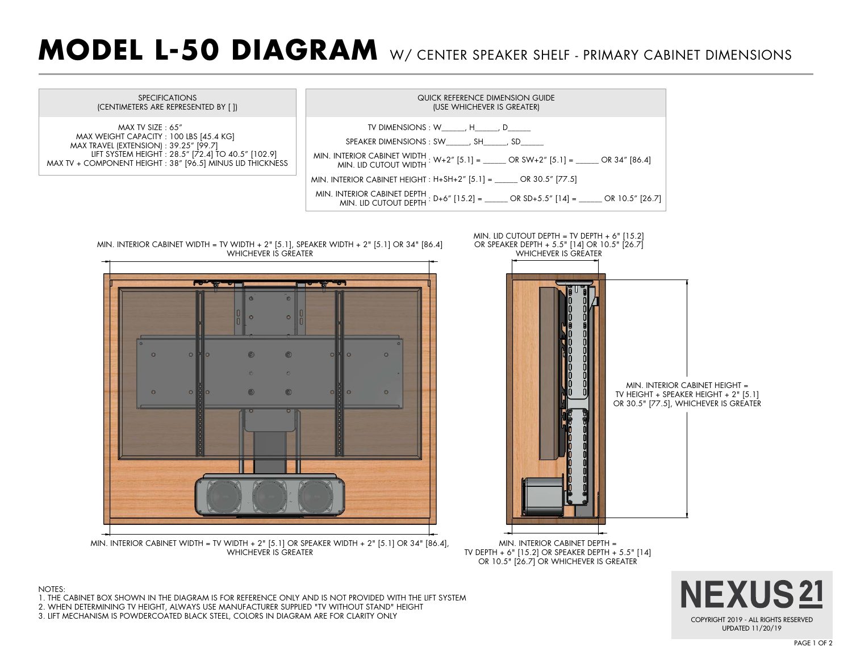## **MODEL L-50 DIAGRAM** W/ CENTER SPEAKER SHELF - PRIMARY CABINET DIMENSIONS



NEXUS21 COPYRIGHT 2019 - ALL RIGHTS RESERVED UPDATED 11/20/19

- 1. THE CABINET BOX SHOWN IN THE DIAGRAM IS FOR REFERENCE ONLY AND IS NOT PROVIDED WITH THE LIFT SYSTEM
- 2. WHEN DETERMINING TV HEIGHT, ALWAYS USE MANUFACTURER SUPPLIED "TV WITHOUT STAND" HEIGHT
- 3. LIFT MECHANISM IS POWDERCOATED BLACK STEEL, COLORS IN DIAGRAM ARE FOR CLARITY ONLY